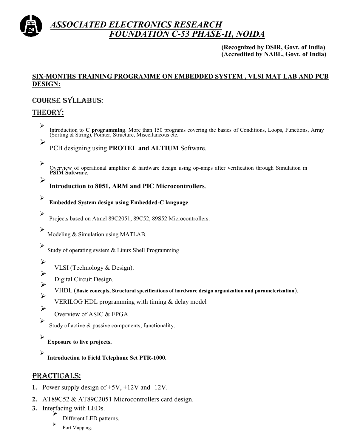

## *ASSOCIATED ELECTRONICS RESEARCH FOUNDATION C-53 PHASE-II, NOIDA*

**(Recognized by DSIR, Govt. of India) (Accredited by NABL, Govt. of India)**

#### **SIX-MONTHS TRAINING PROGRAMME ON EMBEDDED SYSTEM , VLSI MAT LAB AND PCB DESIGN:**

#### Course syllabus:

## Theory:

➤

- $\blacktriangleright$ Introduction to **C programming**. More than 150 programs covering the basics of Conditions, Loops, Functions, Array (Sorting & String), Pointer, Structure, Miscellaneous etc.
	- PCB designing using **PROTEL and ALTIUM** Software.
- ➤ Overview of operational amplifier & hardware design using op-amps after verification through Simulation in **PSIM Software**.  $\blacktriangleright$

**Introduction to 8051, ARM and PIC Microcontrollers**.

- ➤ **Embedded System design using Embedded-C language**.
	- Projects based on Atmel 89C2051, 89C52, 89S52 Microcontrollers.
- $\blacktriangleright$ Modeling & Simulation using MATLAB.

 $\blacktriangleright$ Study of operating system & Linux Shell Programming

 $\blacktriangleright$ 

 $\blacktriangleright$ 

- VLSI (Technology & Design).
- $\blacktriangleright$ Digital Circuit Design.
- VHDL (**Basic concepts, Structural specifications of hardware design organization and parameterization**).  $\blacktriangleright$
- VERILOG HDL programming with timing & delay model
- $\blacktriangleright$ Overview of ASIC & FPGA.
- $\blacktriangleright$ Study of active & passive components; functionality.
- $\blacktriangleright$ **Exposure to live projects.**
- $\blacktriangleright$ **Introduction to Field Telephone Set PTR-1000.**

## PRACTICALS:

- **1.** Power supply design of +5V, +12V and -12V.
- **2.** AT89C52 & AT89C2051 Microcontrollers card design.
- **3.** Interfacing with LEDs.
	- $\blacktriangleright$ Different LED patterns.
	- ➤ Port Mapping.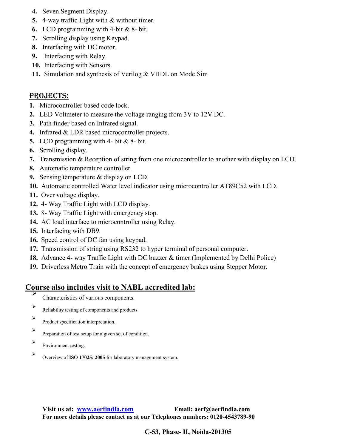- **4.** Seven Segment Display.
- **5.** 4-way traffic Light with & without timer.
- **6.** LCD programming with 4-bit & 8- bit.
- **7.** Scrolling display using Keypad.
- **8.** Interfacing with DC motor.
- **9.** Interfacing with Relay.
- **10.** Interfacing with Sensors.
- **11.** Simulation and synthesis of Verilog & VHDL on ModelSim

## PROJECTS:

- **1.** Microcontroller based code lock.
- **2.** LED Voltmeter to measure the voltage ranging from 3V to 12V DC.
- **3.** Path finder based on Infrared signal.
- **4.** Infrared & LDR based microcontroller projects.
- **5.** LCD programming with 4- bit & 8- bit.
- **6.** Scrolling display.
- **7.** Transmission & Reception of string from one microcontroller to another with display on LCD.
- **8.** Automatic temperature controller.
- **9.** Sensing temperature & display on LCD.
- **10.** Automatic controlled Water level indicator using microcontroller AT89C52 with LCD.
- **11.** Over voltage display.
- **12.** 4- Way Traffic Light with LCD display.
- **13.** 8- Way Traffic Light with emergency stop.
- **14.** AC load interface to microcontroller using Relay.
- **15.** Interfacing with DB9.
- **16.** Speed control of DC fan using keypad.
- **17.** Transmission of string using RS232 to hyper terminal of personal computer.
- **18.** Advance 4- way Traffic Light with DC buzzer & timer.(Implemented by Delhi Police)
- **19.** Driverless Metro Train with the concept of emergency brakes using Stepper Motor.

#### **Course also includes visit to NABL accredited lab:** ⋗

- Characteristics of various components.
- $\blacktriangleright$ Reliability testing of components and products.
- $\blacktriangleright$ Product specification interpretation.
- $\blacktriangleright$ Preparation of test setup for a given set of condition.
- $\blacktriangleright$ Environment testing.
- $\blacktriangleright$ Overview of **ISO 17025: 2005** for laboratory management system.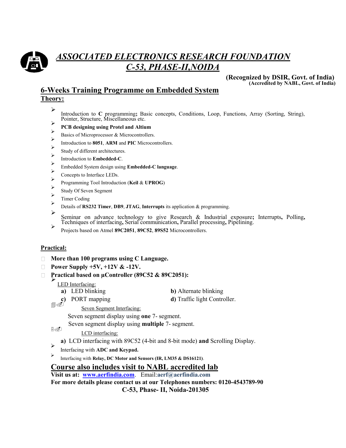

# *ASSOCIATED ELECTRONICS RESEARCH FOUNDATION C-53, PHASE-II,NOIDA*

**(Recognized by DSIR, Govt. of India) (Accredited by NABL, Govt. of India)**

#### **6-Weeks Training Programme on Embedded System Theory:**

- $\blacktriangleright$ Introduction to **C** programming**;** Basic concepts, Conditions, Loop, Functions, Array (Sorting, String), Pointer, Structure, Miscellaneous etc.  $\blacktriangleright$
- **PCB designing using Protel and Altium**
- $\triangleright$ Basics of Microprocessor & Microcontrollers.  $\blacktriangleright$
- Introduction to **8051**, **ARM** and **PIC** Microcontrollers.
- $\blacktriangleright$ Study of different architectures.
- $\blacktriangleright$ Introduction to **Embedded-C**.  $\blacktriangleright$
- Embedded System design using **Embedded-C language**.
- $\blacktriangleright$ Concepts to Interface LEDs.
- $\blacktriangleright$ Programming Tool Introduction (**Keil** & **UPROG**)
- $\blacktriangleright$ Study Of Seven Segment
- $\blacktriangleright$ Timer Coding
- $\blacktriangleright$ Details of **RS232 Timer**, **DB9**, **JTAG**, **Interrupts** its application & programming.
- ➤ Seminar on advance technology to give Research & Industrial exposure**;** Interrupts**,** Polling**,** Techniques of interfacing**,** Serial communication**,** Parallel processing**,** Pipelining.
- $\blacktriangleright$ Projects based on Atmel **89C2051**, **89C52**, **89S52** Microcontrollers.

#### **Practical:**

- **More than 100 programs using C Language.**
- **Power Supply +5V, +12V & -12V.**
- Practical based on µController (89C52 & 89C2051):  $\Box$

LED Interfacing:

- **a)** LED blinking **b)** Alternate blinking
- **c)** PORT mapping **d)** Traffic light Controller.
	- Seven Segment Interfacing:

Seven segment display using **one** 7- segment.

Seven segment display using **multiple** 7- segment.

 $LCD$  interfacing:

- **a)** LCD interfacing with 89C52 (4-bit and 8-bit mode) **and** Scrolling Display.
- $\blacktriangleright$ Interfacing with **ADC and Keypad.**
- ⋗ Interfacing with **Relay, DC Motor and Sensors (IR, LM35 & DS16121)**.

#### **Course also includes visit to NABL accredited lab**

**Visit us at: [www.aerfindia.com](http://www.aerfindia.com/)**.Email:**aerf@aerfindia.com**

**For more details please contact us at our Telephones numbers: 0120-4543789-90 C-53, Phase- II, Noida-201305**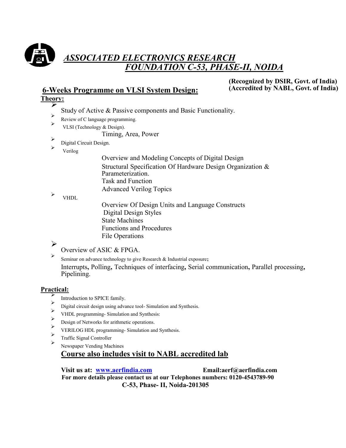

## *ASSOCIATED ELECTRONICS RESEARCH FON C-53, PHASE-II, NOIDA*

## **6-Weeks Programme on VLSI System Design:**

**(Recognized by DSIR, Govt. of India) (Accredited by NABL, Govt. of India)**

#### **Theory:** ➤

- Study of Active & Passive components and Basic Functionality.
- $\blacktriangleright$ Review of C language programming.
- $\blacktriangleright$ VLSI (Technology & Design).
	- Timing, Area, Power
- $\blacktriangleright$ Digital Circuit Design.  $\blacktriangleright$
- Verilog

Overview and Modeling Concepts of Digital Design Structural Specification Of Hardware Design Organization & Parameterization. Task and Function Advanced Verilog Topics

 $\blacktriangleright$ VHDL

> Overview Of Design Units and Language Constructs Digital Design Styles State Machines Functions and Procedures File Operations

#### $\blacktriangleright$

Overview of ASIC & FPGA.

➤ Seminar on advance technology to give Research & Industrial exposure**;** Interrupts**,** Polling**,** Techniques of interfacing**,** Serial communication**,** Parallel processing**,** Pipelining.

#### **Practical:**

- ⋗ Introduction to SPICE family.
- $\blacktriangleright$ Digital circuit design using advance tool- Simulation and Synthesis.
- $\blacktriangleright$ VHDL programming- Simulation and Synthesis:  $\blacktriangleright$
- Design of Networks for arithmetic operations.
- $\blacktriangleright$ VERILOG HDL programming- Simulation and Synthesis.
- $\blacktriangleright$ Traffic Signal Controller  $\blacktriangleright$
- Newspaper Vending Machines

## **Course also includes visit to NABL accredited lab**

**Visit us at: [www.aerfindia.com](http://www.aerfindia.com/) Email:aerf@aerfindia.com For more details please contact us at our Telephones numbers: 0120-4543789-90 C-53, Phase- II, Noida-201305**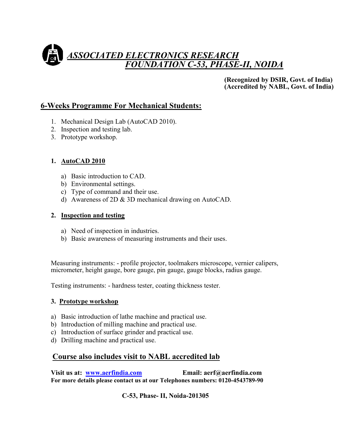# *ASSOCIATED ELECTRONICS RESEARCH FOUNDATION C-53, PHASE-II, NOIDA*

**(Recognized by DSIR, Govt. of India) (Accredited by NABL, Govt. of India)**

## **6-Weeks Programme For Mechanical Students:**

- 1. Mechanical Design Lab (AutoCAD 2010).
- 2. Inspection and testing lab.
- 3. Prototype workshop.

#### **1. AutoCAD 2010**

- a) Basic introduction to CAD.
- b) Environmental settings.
- c) Type of command and their use.
- d) Awareness of 2D & 3D mechanical drawing on AutoCAD.

#### **2. Inspection and testing**

- a) Need of inspection in industries.
- b) Basic awareness of measuring instruments and their uses.

Measuring instruments: - profile projector, toolmakers microscope, vernier calipers, micrometer, height gauge, bore gauge, pin gauge, gauge blocks, radius gauge.

Testing instruments: - hardness tester, coating thickness tester.

#### **3. Prototype workshop**

- a) Basic introduction of lathe machine and practical use.
- b) Introduction of milling machine and practical use.
- c) Introduction of surface grinder and practical use.
- d) Drilling machine and practical use.

## **Course also includes visit to NABL accredited lab**

**Visit us at: [www.aerfindia.com](http://www.aerfindia.com/) Email: aerf@aerfindia.com For more details please contact us at our Telephones numbers: 0120-4543789-90**

**C-53, Phase- II, Noida-201305**